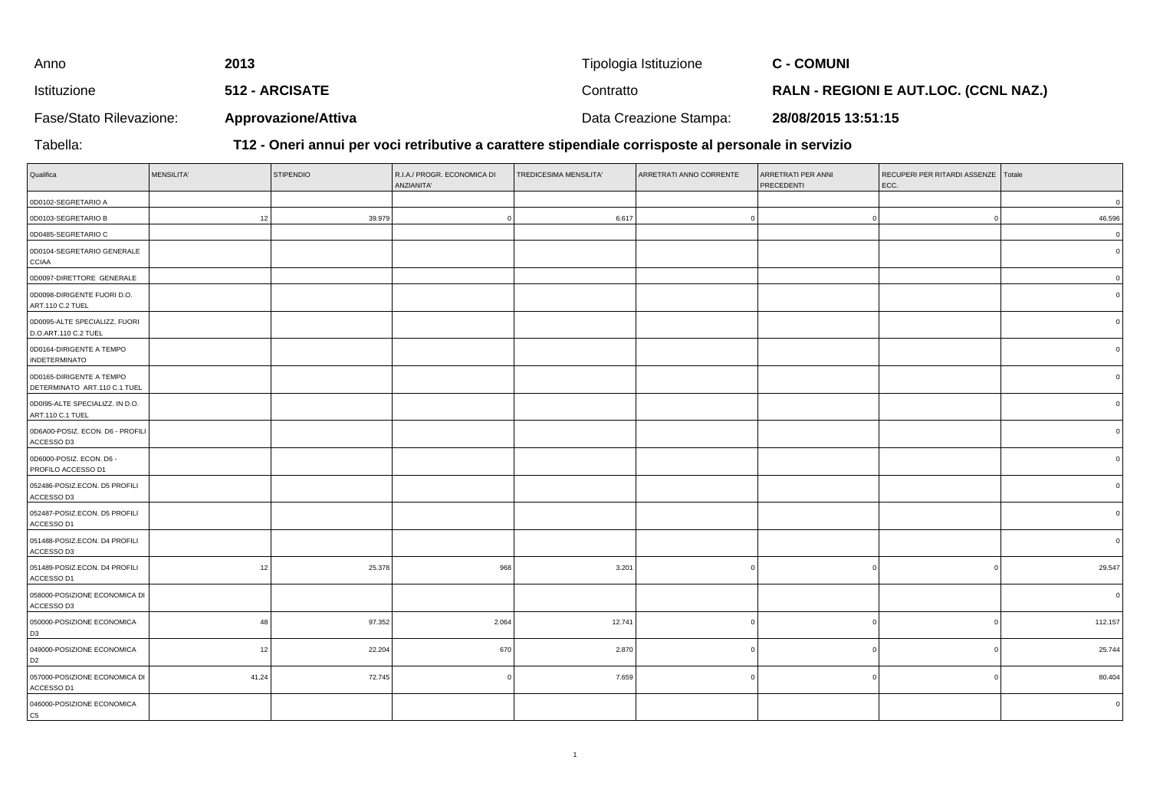| Anno                    | 2013                       | Tipologia Istituzione  | <b>C - COMUNI</b>                            |
|-------------------------|----------------------------|------------------------|----------------------------------------------|
| Istituzione             | 512 - ARCISATE             | Contratto              | <b>RALN - REGIONI E AUT.LOC. (CCNL NAZ.)</b> |
| Fase/Stato Rilevazione: | <b>Approvazione/Attiva</b> | Data Creazione Stampa: | 28/08/2015 13:51:15                          |

Tabella:

**T12 - Oneri annui per voci retributive a carattere stipendiale corrisposte al personale in servizio**

| Qualifica                                                | <b>MENSILITA'</b> | <b>STIPENDIO</b> | R.I.A./ PROGR. ECONOMICA DI<br>ANZIANITA' | TREDICESIMA MENSILITA' | ARRETRATI ANNO CORRENTE | ARRETRATI PER ANNI<br>PRECEDENTI | RECUPERI PER RITARDI ASSENZE Totale<br>ECC. |          |
|----------------------------------------------------------|-------------------|------------------|-------------------------------------------|------------------------|-------------------------|----------------------------------|---------------------------------------------|----------|
| 0D0102-SEGRETARIO A                                      |                   |                  |                                           |                        |                         |                                  |                                             | $\Omega$ |
| 0D0103-SEGRETARIO B                                      | 12                | 39.979           |                                           | 6.617                  |                         |                                  |                                             | 46.596   |
| 0D0485-SEGRETARIO C                                      |                   |                  |                                           |                        |                         |                                  |                                             | $\Omega$ |
| 0D0104-SEGRETARIO GENERALE<br><b>CCIAA</b>               |                   |                  |                                           |                        |                         |                                  |                                             |          |
| 0D0097-DIRETTORE GENERALE                                |                   |                  |                                           |                        |                         |                                  |                                             |          |
| 0D0098-DIRIGENTE FUORI D.O.<br>ART.110 C.2 TUEL          |                   |                  |                                           |                        |                         |                                  |                                             |          |
| 0D0095-ALTE SPECIALIZZ. FUORI<br>D.O.ART.110 C.2 TUEL    |                   |                  |                                           |                        |                         |                                  |                                             |          |
| 0D0164-DIRIGENTE A TEMPO<br>INDETERMINATO                |                   |                  |                                           |                        |                         |                                  |                                             |          |
| 0D0165-DIRIGENTE A TEMPO<br>DETERMINATO ART.110 C.1 TUEL |                   |                  |                                           |                        |                         |                                  |                                             |          |
| 0D0I95-ALTE SPECIALIZZ. IN D.O.<br>ART.110 C.1 TUEL      |                   |                  |                                           |                        |                         |                                  |                                             |          |
| 0D6A00-POSIZ. ECON. D6 - PROFILI<br>ACCESSO D3           |                   |                  |                                           |                        |                         |                                  |                                             |          |
| 0D6000-POSIZ. ECON. D6 -<br>PROFILO ACCESSO D1           |                   |                  |                                           |                        |                         |                                  |                                             |          |
| 052486-POSIZ.ECON. D5 PROFILI<br>ACCESSO D3              |                   |                  |                                           |                        |                         |                                  |                                             |          |
| 052487-POSIZ.ECON. D5 PROFILI<br>ACCESSO D1              |                   |                  |                                           |                        |                         |                                  |                                             |          |
| 051488-POSIZ.ECON. D4 PROFILI<br>ACCESSO D3              |                   |                  |                                           |                        |                         |                                  |                                             |          |
| 051489-POSIZ.ECON. D4 PROFILI<br>ACCESSO D1              | 12                | 25.378           | 968                                       | 3.201                  |                         |                                  |                                             | 29.547   |
| 058000-POSIZIONE ECONOMICA DI<br>ACCESSO D3              |                   |                  |                                           |                        |                         |                                  |                                             | $\Omega$ |
| 050000-POSIZIONE ECONOMICA<br>D <sub>3</sub>             | 48                | 97.352           | 2.064                                     | 12.741                 |                         | - 0                              | $\Omega$                                    | 112.157  |
| 049000-POSIZIONE ECONOMICA<br>D2                         | 12                | 22.204           | 670                                       | 2.870                  |                         |                                  |                                             | 25.744   |
| 057000-POSIZIONE ECONOMICA DI<br>ACCESSO D1              | 41,24             | 72.745           |                                           | 7.659                  |                         |                                  | $\Omega$                                    | 80.404   |
| 046000-POSIZIONE ECONOMICA<br>C5                         |                   |                  |                                           |                        |                         |                                  |                                             |          |